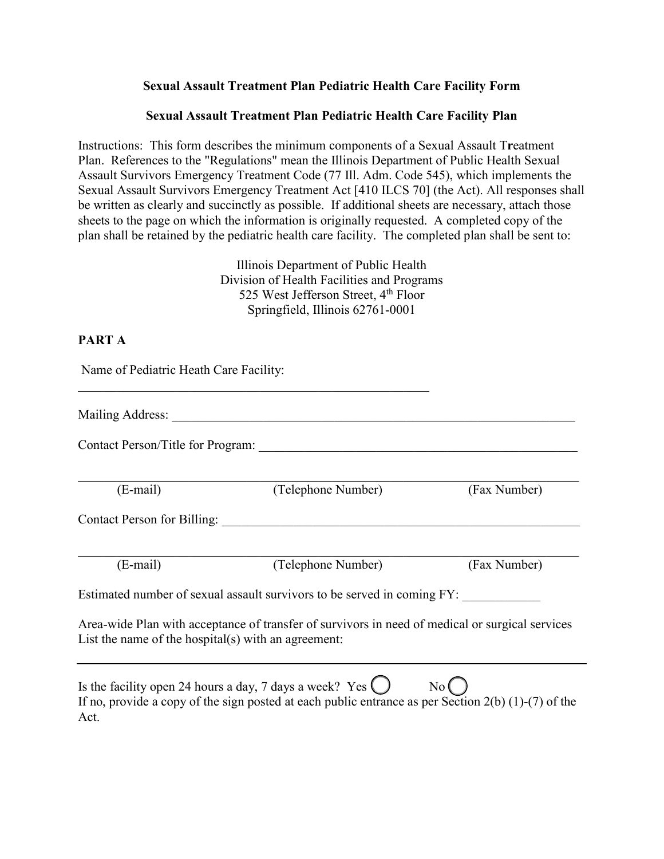### **Sexual Assault Treatment Plan Pediatric Health Care Facility Form**

#### **Sexual Assault Treatment Plan Pediatric Health Care Facility Plan**

Instructions: This form describes the minimum components of a Sexual Assault T**r**eatment Plan. References to the "Regulations" mean the Illinois Department of Public Health Sexual Assault Survivors Emergency Treatment Code (77 Ill. Adm. Code 545), which implements the Sexual Assault Survivors Emergency Treatment Act [410 ILCS 70] (the Act). All responses shall be written as clearly and succinctly as possible. If additional sheets are necessary, attach those sheets to the page on which the information is originally requested. A completed copy of the plan shall be retained by the pediatric health care facility. The completed plan shall be sent to:

> Illinois Department of Public Health Division of Health Facilities and Programs 525 West Jefferson Street, 4<sup>th</sup> Floor Springfield, Illinois 62761-0001

### **PART A**

Name of Pediatric Heath Care Facility: \_\_\_\_\_\_\_\_\_\_\_\_\_\_\_\_\_\_\_\_\_\_\_\_\_\_\_\_\_\_\_\_\_\_\_\_\_\_\_\_\_\_\_\_\_\_\_\_\_\_\_\_\_\_

Mailing Address: \_\_\_\_\_\_\_\_\_\_\_\_\_\_\_\_\_\_\_\_\_\_\_\_\_\_\_\_\_\_\_\_\_\_\_\_\_\_\_\_\_\_\_\_\_\_\_\_\_\_\_\_\_\_\_\_\_\_\_\_\_\_

Contact Person/Title for Program:

\_\_\_\_\_\_\_\_\_\_\_\_\_\_\_\_\_\_\_\_\_\_\_\_\_\_\_\_\_\_\_\_\_\_\_\_\_\_\_\_\_\_\_\_\_\_\_\_\_\_\_\_\_\_\_\_\_\_\_\_\_\_\_\_\_\_\_\_\_\_\_\_\_\_\_\_\_ (E-mail) (Telephone Number) (Fax Number)

Contact Person for Billing:

\_\_\_\_\_\_\_\_\_\_\_\_\_\_\_\_\_\_\_\_\_\_\_\_\_\_\_\_\_\_\_\_\_\_\_\_\_\_\_\_\_\_\_\_\_\_\_\_\_\_\_\_\_\_\_\_\_\_\_\_\_\_\_\_\_\_\_\_\_\_\_\_\_\_\_\_\_ (E-mail) (Telephone Number) (Fax Number)

Estimated number of sexual assault survivors to be served in coming FY:

Area-wide Plan with acceptance of transfer of survivors in need of medical or surgical services List the name of the hospital(s) with an agreement:

Is the facility open 24 hours a day, 7 days a week? Yes  $\bigcirc$  No  $\bigcirc$ If no, provide a copy of the sign posted at each public entrance as per Section 2(b) (1)-(7) of the Act.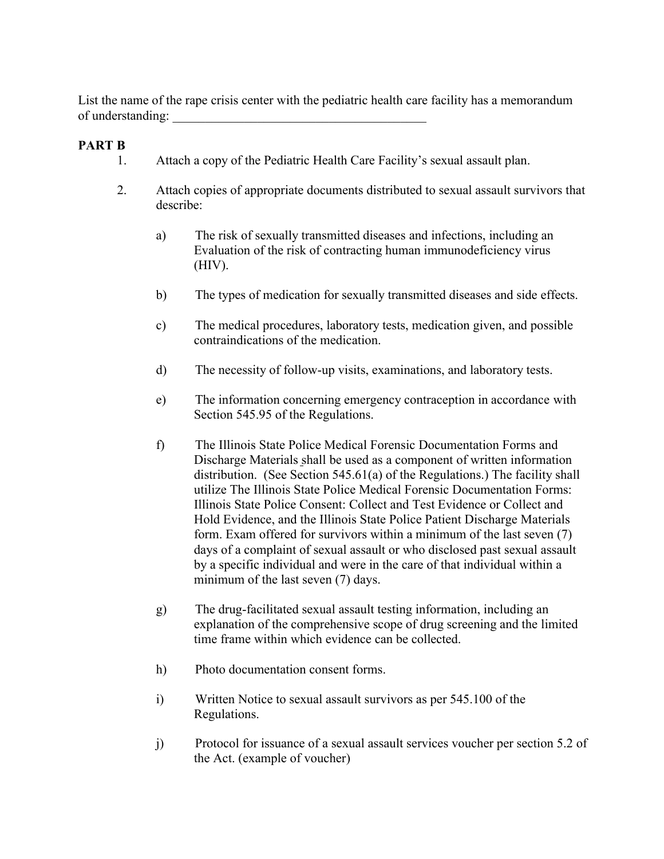List the name of the rape crisis center with the pediatric health care facility has a memorandum of understanding:

## **PART B**

- 1. Attach a copy of the Pediatric Health Care Facility's sexual assault plan.
- 2. Attach copies of appropriate documents distributed to sexual assault survivors that describe:
	- a) The risk of sexually transmitted diseases and infections, including an Evaluation of the risk of contracting human immunodeficiency virus (HIV).
	- b) The types of medication for sexually transmitted diseases and side effects.
	- c) The medical procedures, laboratory tests, medication given, and possible contraindications of the medication.
	- d) The necessity of follow-up visits, examinations, and laboratory tests.
	- e) The information concerning emergency contraception in accordance with Section 545.95 of the Regulations.
	- f) The Illinois State Police Medical Forensic Documentation Forms and Discharge Materials shall be used as a component of written information distribution. (See Section 545.61(a) of the Regulations.) The facility shall utilize The Illinois State Police Medical Forensic Documentation Forms: Illinois State Police Consent: Collect and Test Evidence or Collect and Hold Evidence, and the Illinois State Police Patient Discharge Materials form. Exam offered for survivors within a minimum of the last seven (7) days of a complaint of sexual assault or who disclosed past sexual assault by a specific individual and were in the care of that individual within a minimum of the last seven (7) days.
	- g) The drug-facilitated sexual assault testing information, including an explanation of the comprehensive scope of drug screening and the limited time frame within which evidence can be collected.
	- h) Photo documentation consent forms.
	- i) Written Notice to sexual assault survivors as per 545.100 of the Regulations.
	- j) Protocol for issuance of a sexual assault services voucher per section 5.2 of the Act. (example of voucher)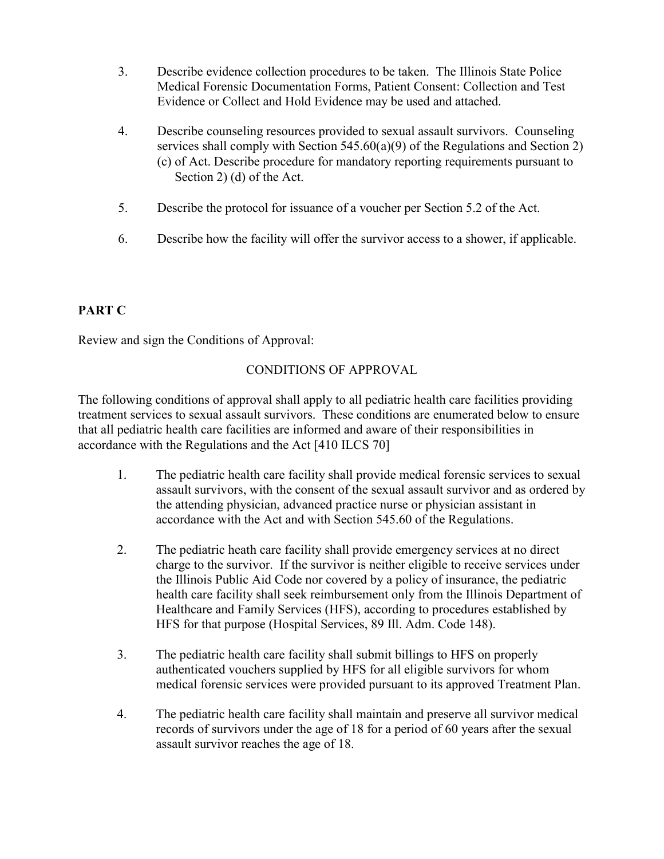- 3. Describe evidence collection procedures to be taken. The Illinois State Police Medical Forensic Documentation Forms, Patient Consent: Collection and Test Evidence or Collect and Hold Evidence may be used and attached.
- 4. Describe counseling resources provided to sexual assault survivors. Counseling services shall comply with Section 545.60(a)(9) of the Regulations and Section 2) (c) of Act. Describe procedure for mandatory reporting requirements pursuant to Section 2) (d) of the Act.
- 5. Describe the protocol for issuance of a voucher per Section 5.2 of the Act.
- 6. Describe how the facility will offer the survivor access to a shower, if applicable.

# **PART C**

Review and sign the Conditions of Approval:

# CONDITIONS OF APPROVAL

The following conditions of approval shall apply to all pediatric health care facilities providing treatment services to sexual assault survivors. These conditions are enumerated below to ensure that all pediatric health care facilities are informed and aware of their responsibilities in accordance with the Regulations and the Act [410 ILCS 70]

- 1. The pediatric health care facility shall provide medical forensic services to sexual assault survivors, with the consent of the sexual assault survivor and as ordered by the attending physician, advanced practice nurse or physician assistant in accordance with the Act and with Section 545.60 of the Regulations.
- 2. The pediatric heath care facility shall provide emergency services at no direct charge to the survivor. If the survivor is neither eligible to receive services under the Illinois Public Aid Code nor covered by a policy of insurance, the pediatric health care facility shall seek reimbursement only from the Illinois Department of Healthcare and Family Services (HFS), according to procedures established by HFS for that purpose (Hospital Services, 89 Ill. Adm. Code 148).
- 3. The pediatric health care facility shall submit billings to HFS on properly authenticated vouchers supplied by HFS for all eligible survivors for whom medical forensic services were provided pursuant to its approved Treatment Plan.
- 4. The pediatric health care facility shall maintain and preserve all survivor medical records of survivors under the age of 18 for a period of 60 years after the sexual assault survivor reaches the age of 18.